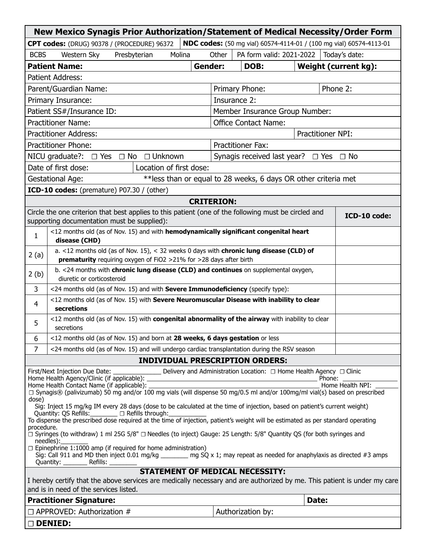| New Mexico Synagis Prior Authorization/Statement of Medical Necessity/Order Form                                                                                                                                                                                                                                                                                                                                                                                                                                                                                                                                                                                                                                                                                                                                                                                                                                                                                                                      |                                                                                                                                                               |  |                |                          |                                                  |               |          |                      |  |
|-------------------------------------------------------------------------------------------------------------------------------------------------------------------------------------------------------------------------------------------------------------------------------------------------------------------------------------------------------------------------------------------------------------------------------------------------------------------------------------------------------------------------------------------------------------------------------------------------------------------------------------------------------------------------------------------------------------------------------------------------------------------------------------------------------------------------------------------------------------------------------------------------------------------------------------------------------------------------------------------------------|---------------------------------------------------------------------------------------------------------------------------------------------------------------|--|----------------|--------------------------|--------------------------------------------------|---------------|----------|----------------------|--|
| NDC codes: (50 mg vial) 60574-4114-01 / (100 mg vial) 60574-4113-01<br>CPT codes: (DRUG) 90378 / (PROCEDURE) 96372                                                                                                                                                                                                                                                                                                                                                                                                                                                                                                                                                                                                                                                                                                                                                                                                                                                                                    |                                                                                                                                                               |  |                |                          |                                                  |               |          |                      |  |
| <b>BCBS</b>                                                                                                                                                                                                                                                                                                                                                                                                                                                                                                                                                                                                                                                                                                                                                                                                                                                                                                                                                                                           | Molina<br>Western Sky<br>Presbyterian                                                                                                                         |  | Other          | PA form valid: 2021-2022 |                                                  | Today's date: |          |                      |  |
|                                                                                                                                                                                                                                                                                                                                                                                                                                                                                                                                                                                                                                                                                                                                                                                                                                                                                                                                                                                                       | <b>Patient Name:</b>                                                                                                                                          |  | <b>Gender:</b> |                          | DOB:                                             |               |          | Weight (current kg): |  |
| <b>Patient Address:</b>                                                                                                                                                                                                                                                                                                                                                                                                                                                                                                                                                                                                                                                                                                                                                                                                                                                                                                                                                                               |                                                                                                                                                               |  |                |                          |                                                  |               |          |                      |  |
| Parent/Guardian Name:                                                                                                                                                                                                                                                                                                                                                                                                                                                                                                                                                                                                                                                                                                                                                                                                                                                                                                                                                                                 |                                                                                                                                                               |  |                |                          | Primary Phone:                                   |               | Phone 2: |                      |  |
| Insurance 2:<br>Primary Insurance:                                                                                                                                                                                                                                                                                                                                                                                                                                                                                                                                                                                                                                                                                                                                                                                                                                                                                                                                                                    |                                                                                                                                                               |  |                |                          |                                                  |               |          |                      |  |
| Patient SS#/Insurance ID:                                                                                                                                                                                                                                                                                                                                                                                                                                                                                                                                                                                                                                                                                                                                                                                                                                                                                                                                                                             |                                                                                                                                                               |  |                |                          | Member Insurance Group Number:                   |               |          |                      |  |
| <b>Practitioner Name:</b>                                                                                                                                                                                                                                                                                                                                                                                                                                                                                                                                                                                                                                                                                                                                                                                                                                                                                                                                                                             |                                                                                                                                                               |  |                |                          | <b>Office Contact Name:</b>                      |               |          |                      |  |
| Practitioner NPI:<br><b>Practitioner Address:</b>                                                                                                                                                                                                                                                                                                                                                                                                                                                                                                                                                                                                                                                                                                                                                                                                                                                                                                                                                     |                                                                                                                                                               |  |                |                          |                                                  |               |          |                      |  |
| <b>Practitioner Phone:</b>                                                                                                                                                                                                                                                                                                                                                                                                                                                                                                                                                                                                                                                                                                                                                                                                                                                                                                                                                                            |                                                                                                                                                               |  |                |                          | <b>Practitioner Fax:</b>                         |               |          |                      |  |
| NICU graduate?: $\Box$ Yes $\Box$ No $\Box$ Unknown                                                                                                                                                                                                                                                                                                                                                                                                                                                                                                                                                                                                                                                                                                                                                                                                                                                                                                                                                   |                                                                                                                                                               |  |                |                          | Synagis received last year? $\Box$ Yes $\Box$ No |               |          |                      |  |
| Date of first dose:<br>Location of first dose:                                                                                                                                                                                                                                                                                                                                                                                                                                                                                                                                                                                                                                                                                                                                                                                                                                                                                                                                                        |                                                                                                                                                               |  |                |                          |                                                  |               |          |                      |  |
| <b>Gestational Age:</b><br>** less than or equal to 28 weeks, 6 days OR other criteria met                                                                                                                                                                                                                                                                                                                                                                                                                                                                                                                                                                                                                                                                                                                                                                                                                                                                                                            |                                                                                                                                                               |  |                |                          |                                                  |               |          |                      |  |
| ICD-10 codes: (premature) P07.30 / (other)                                                                                                                                                                                                                                                                                                                                                                                                                                                                                                                                                                                                                                                                                                                                                                                                                                                                                                                                                            |                                                                                                                                                               |  |                |                          |                                                  |               |          |                      |  |
| <b>CRITERION:</b>                                                                                                                                                                                                                                                                                                                                                                                                                                                                                                                                                                                                                                                                                                                                                                                                                                                                                                                                                                                     |                                                                                                                                                               |  |                |                          |                                                  |               |          |                      |  |
|                                                                                                                                                                                                                                                                                                                                                                                                                                                                                                                                                                                                                                                                                                                                                                                                                                                                                                                                                                                                       | Circle the one criterion that best applies to this patient (one of the following must be circled and<br>supporting documentation must be supplied):           |  |                |                          |                                                  |               |          | ICD-10 code:         |  |
| $\mathbf{1}$                                                                                                                                                                                                                                                                                                                                                                                                                                                                                                                                                                                                                                                                                                                                                                                                                                                                                                                                                                                          | <12 months old (as of Nov. 15) and with hemodynamically significant congenital heart<br>disease (CHD)                                                         |  |                |                          |                                                  |               |          |                      |  |
| 2(a)                                                                                                                                                                                                                                                                                                                                                                                                                                                                                                                                                                                                                                                                                                                                                                                                                                                                                                                                                                                                  | a. <12 months old (as of Nov. 15), < 32 weeks 0 days with chronic lung disease (CLD) of<br>prematurity requiring oxygen of FiO2 >21% for >28 days after birth |  |                |                          |                                                  |               |          |                      |  |
| 2(b)                                                                                                                                                                                                                                                                                                                                                                                                                                                                                                                                                                                                                                                                                                                                                                                                                                                                                                                                                                                                  | b. <24 months with chronic lung disease (CLD) and continues on supplemental oxygen,<br>diuretic or corticosteroid                                             |  |                |                          |                                                  |               |          |                      |  |
| 3                                                                                                                                                                                                                                                                                                                                                                                                                                                                                                                                                                                                                                                                                                                                                                                                                                                                                                                                                                                                     | <24 months old (as of Nov. 15) and with <b>Severe Immunodeficiency</b> (specify type):                                                                        |  |                |                          |                                                  |               |          |                      |  |
| $\overline{4}$                                                                                                                                                                                                                                                                                                                                                                                                                                                                                                                                                                                                                                                                                                                                                                                                                                                                                                                                                                                        | <12 months old (as of Nov. 15) with Severe Neuromuscular Disease with inability to clear<br>secretions                                                        |  |                |                          |                                                  |               |          |                      |  |
| 5                                                                                                                                                                                                                                                                                                                                                                                                                                                                                                                                                                                                                                                                                                                                                                                                                                                                                                                                                                                                     | <12 months old (as of Nov. 15) with congenital abnormality of the airway with inability to clear<br>secretions                                                |  |                |                          |                                                  |               |          |                      |  |
| 6                                                                                                                                                                                                                                                                                                                                                                                                                                                                                                                                                                                                                                                                                                                                                                                                                                                                                                                                                                                                     | <12 months old (as of Nov. 15) and born at 28 weeks, 6 days gestation or less                                                                                 |  |                |                          |                                                  |               |          |                      |  |
| 7                                                                                                                                                                                                                                                                                                                                                                                                                                                                                                                                                                                                                                                                                                                                                                                                                                                                                                                                                                                                     | <24 months old (as of Nov. 15) and will undergo cardiac transplantation during the RSV season                                                                 |  |                |                          |                                                  |               |          |                      |  |
| <b>INDIVIDUAL PRESCRIPTION ORDERS:</b>                                                                                                                                                                                                                                                                                                                                                                                                                                                                                                                                                                                                                                                                                                                                                                                                                                                                                                                                                                |                                                                                                                                                               |  |                |                          |                                                  |               |          |                      |  |
| First/Next Injection Due Date:<br><b>Delivery and Administration Location:</b> □ Home Health Agency □ Clinic<br>Home Health NPI:<br>dose)<br>Sig: Inject 15 mg/kg IM every 28 days (dose to be calculated at the time of injection, based on patient's current weight)<br>Quantity: QS Refills:________ <sub>D</sub> Refills through:<br>To dispense the prescribed dose required at the time of injection, patient's weight will be estimated as per standard operating<br>procedure.<br>□ Syringes (to withdraw) 1 ml 25G 5/8" □ Needles (to inject) Gauge: 25 Length: 5/8" Quantity QS (for both syringes and<br>needles):<br>$\Box$ Epinephrine 1:1000 amp (if required for home administration)<br>Sig: Call 911 and MD then inject 0.01 mg/kg _______ mg SQ x 1; may repeat as needed for anaphylaxis as directed #3 amps<br><b>STATEMENT OF MEDICAL NECESSITY:</b><br>I hereby certify that the above services are medically necessary and are authorized by me. This patient is under my care |                                                                                                                                                               |  |                |                          |                                                  |               |          |                      |  |
| and is in need of the services listed.                                                                                                                                                                                                                                                                                                                                                                                                                                                                                                                                                                                                                                                                                                                                                                                                                                                                                                                                                                |                                                                                                                                                               |  |                |                          |                                                  |               |          |                      |  |
| <b>Practitioner Signature:</b>                                                                                                                                                                                                                                                                                                                                                                                                                                                                                                                                                                                                                                                                                                                                                                                                                                                                                                                                                                        |                                                                                                                                                               |  |                |                          |                                                  | Date:         |          |                      |  |
| $\Box$ APPROVED: Authorization #<br>Authorization by:                                                                                                                                                                                                                                                                                                                                                                                                                                                                                                                                                                                                                                                                                                                                                                                                                                                                                                                                                 |                                                                                                                                                               |  |                |                          |                                                  |               |          |                      |  |
| $\Box$ DENIED:                                                                                                                                                                                                                                                                                                                                                                                                                                                                                                                                                                                                                                                                                                                                                                                                                                                                                                                                                                                        |                                                                                                                                                               |  |                |                          |                                                  |               |          |                      |  |